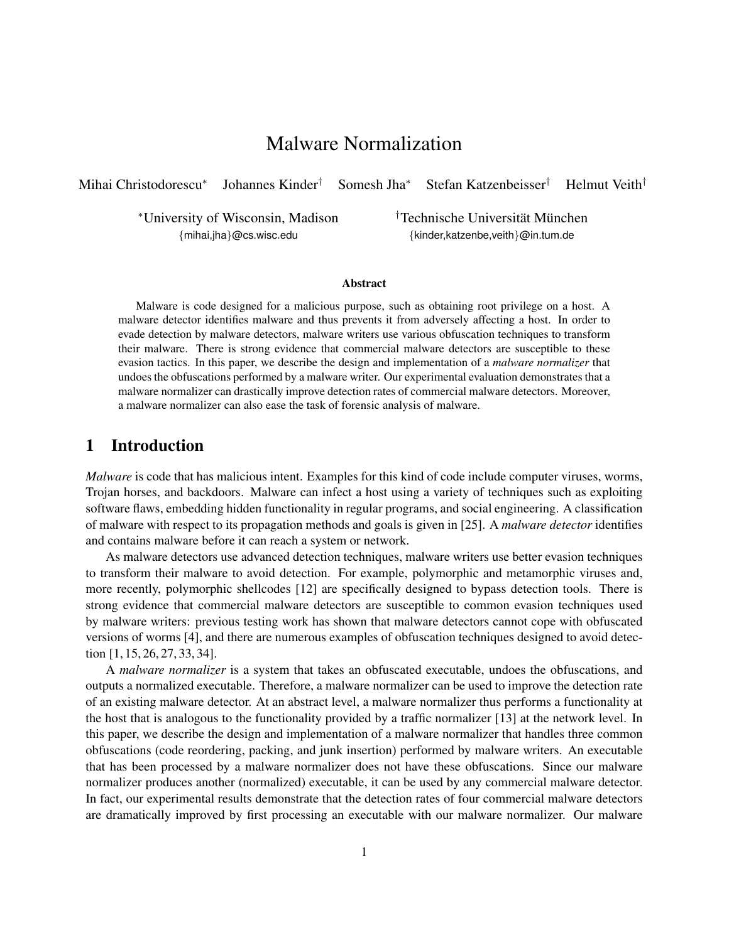# Malware Normalization

Mihai Christodorescu<sup>∗</sup> Johannes Kinder† Somesh Jha<sup>∗</sup> Stefan Katzenbeisser† Helmut Veith†

<sup>∗</sup>University of Wisconsin, Madison †Technische Universitat M¨ unchen ¨

{mihai,jha}@cs.wisc.edu {kinder,katzenbe,veith}@in.tum.de

#### Abstract

Malware is code designed for a malicious purpose, such as obtaining root privilege on a host. A malware detector identifies malware and thus prevents it from adversely affecting a host. In order to evade detection by malware detectors, malware writers use various obfuscation techniques to transform their malware. There is strong evidence that commercial malware detectors are susceptible to these evasion tactics. In this paper, we describe the design and implementation of a *malware normalizer* that undoes the obfuscations performed by a malware writer. Our experimental evaluation demonstrates that a malware normalizer can drastically improve detection rates of commercial malware detectors. Moreover, a malware normalizer can also ease the task of forensic analysis of malware.

# 1 Introduction

*Malware* is code that has malicious intent. Examples for this kind of code include computer viruses, worms, Trojan horses, and backdoors. Malware can infect a host using a variety of techniques such as exploiting software flaws, embedding hidden functionality in regular programs, and social engineering. A classification of malware with respect to its propagation methods and goals is given in [25]. A *malware detector* identifies and contains malware before it can reach a system or network.

As malware detectors use advanced detection techniques, malware writers use better evasion techniques to transform their malware to avoid detection. For example, polymorphic and metamorphic viruses and, more recently, polymorphic shellcodes [12] are specifically designed to bypass detection tools. There is strong evidence that commercial malware detectors are susceptible to common evasion techniques used by malware writers: previous testing work has shown that malware detectors cannot cope with obfuscated versions of worms [4], and there are numerous examples of obfuscation techniques designed to avoid detection [1, 15, 26, 27, 33, 34].

A *malware normalizer* is a system that takes an obfuscated executable, undoes the obfuscations, and outputs a normalized executable. Therefore, a malware normalizer can be used to improve the detection rate of an existing malware detector. At an abstract level, a malware normalizer thus performs a functionality at the host that is analogous to the functionality provided by a traffic normalizer [13] at the network level. In this paper, we describe the design and implementation of a malware normalizer that handles three common obfuscations (code reordering, packing, and junk insertion) performed by malware writers. An executable that has been processed by a malware normalizer does not have these obfuscations. Since our malware normalizer produces another (normalized) executable, it can be used by any commercial malware detector. In fact, our experimental results demonstrate that the detection rates of four commercial malware detectors are dramatically improved by first processing an executable with our malware normalizer. Our malware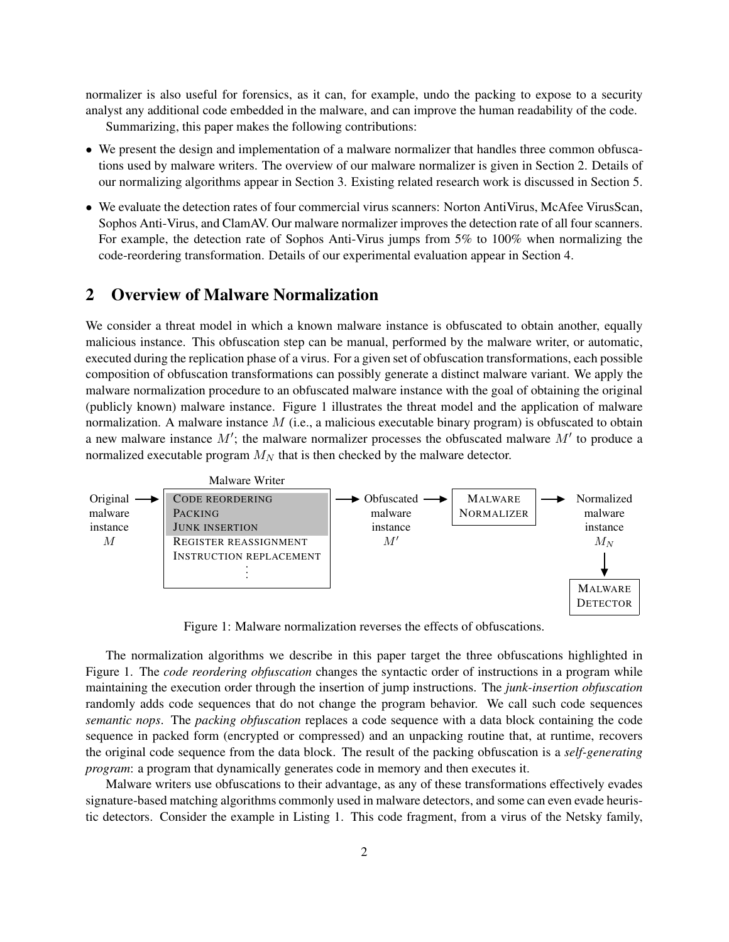normalizer is also useful for forensics, as it can, for example, undo the packing to expose to a security analyst any additional code embedded in the malware, and can improve the human readability of the code. Summarizing, this paper makes the following contributions:

- We present the design and implementation of a malware normalizer that handles three common obfuscations used by malware writers. The overview of our malware normalizer is given in [Section 2.](#page-1-0) Details of our normalizing algorithms appear in [Section 3.](#page-3-0) Existing related research work is discussed in [Section 5.](#page-10-0)
- We evaluate the detection rates of four commercial virus scanners: Norton AntiVirus, McAfee VirusScan, Sophos Anti-Virus, and ClamAV. Our malware normalizer improves the detection rate of all four scanners. For example, the detection rate of Sophos Anti-Virus jumps from 5% to 100% when normalizing the code-reordering transformation. Details of our experimental evaluation appear in [Section 4.](#page-7-0)

# <span id="page-1-0"></span>2 Overview of Malware Normalization

We consider a threat model in which a known malware instance is obfuscated to obtain another, equally malicious instance. This obfuscation step can be manual, performed by the malware writer, or automatic, executed during the replication phase of a virus. For a given set of obfuscation transformations, each possible composition of obfuscation transformations can possibly generate a distinct malware variant. We apply the malware normalization procedure to an obfuscated malware instance with the goal of obtaining the original (publicly known) malware instance. [Figure 1](#page-1-1) illustrates the threat model and the application of malware normalization. A malware instance  $M$  (i.e., a malicious executable binary program) is obfuscated to obtain a new malware instance  $M'$ ; the malware normalizer processes the obfuscated malware  $M'$  to produce a normalized executable program  $M_N$  that is then checked by the malware detector.



Figure 1: Malware normalization reverses the effects of obfuscations.

<span id="page-1-1"></span>The normalization algorithms we describe in this paper target the three obfuscations highlighted in [Figure 1.](#page-1-1) The *code reordering obfuscation* changes the syntactic order of instructions in a program while maintaining the execution order through the insertion of jump instructions. The *junk-insertion obfuscation* randomly adds code sequences that do not change the program behavior. We call such code sequences *semantic nops*. The *packing obfuscation* replaces a code sequence with a data block containing the code sequence in packed form (encrypted or compressed) and an unpacking routine that, at runtime, recovers the original code sequence from the data block. The result of the packing obfuscation is a *self-generating program*: a program that dynamically generates code in memory and then executes it.

Malware writers use obfuscations to their advantage, as any of these transformations effectively evades signature-based matching algorithms commonly used in malware detectors, and some can even evade heuristic detectors. Consider the example in [Listing 1.](#page-2-0) This code fragment, from a virus of the Netsky family,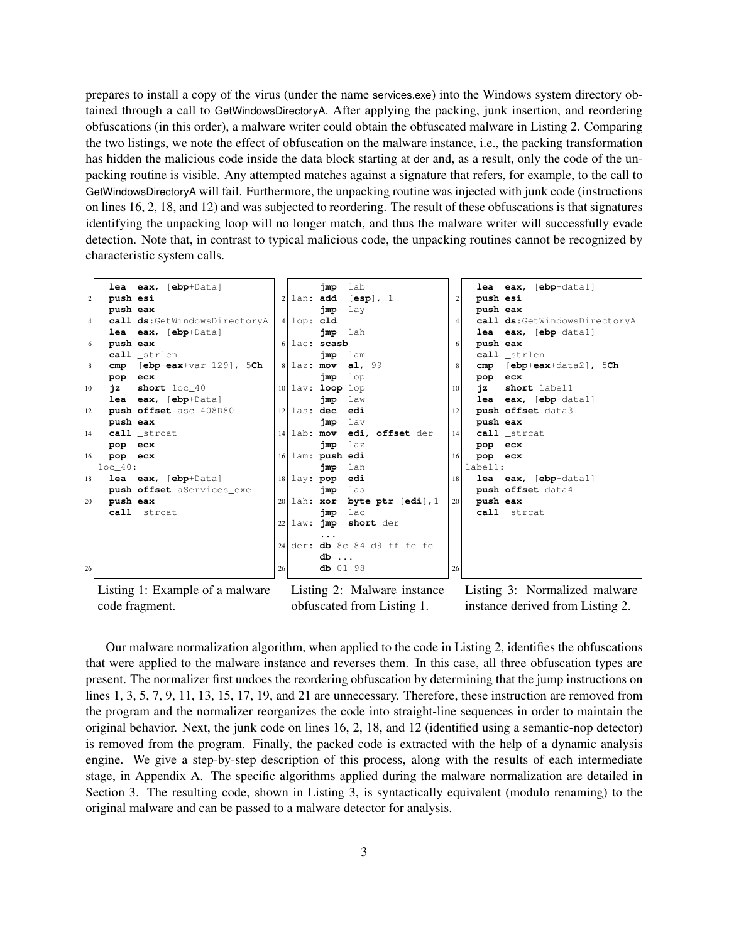prepares to install a copy of the virus (under the name services.exe) into the Windows system directory obtained through a call to GetWindowsDirectoryA. After applying the packing, junk insertion, and reordering obfuscations (in this order), a malware writer could obtain the obfuscated malware in [Listing 2.](#page-2-1) Comparing the two listings, we note the effect of obfuscation on the malware instance, i.e., the packing transformation has hidden the malicious code inside the data block starting at der and, as a result, only the code of the unpacking routine is visible. Any attempted matches against a signature that refers, for example, to the call to GetWindowsDirectoryA will fail. Furthermore, the unpacking routine was injected with junk code (instructions on lines [16,](#page-2-2) [2,](#page-2-3) [18,](#page-2-4) and [12\)](#page-2-5) and was subjected to reordering. The result of these obfuscations is that signatures identifying the unpacking loop will no longer match, and thus the malware writer will successfully evade detection. Note that, in contrast to typical malicious code, the unpacking routines cannot be recognized by characteristic system calls.

<span id="page-2-3"></span><span id="page-2-1"></span><span id="page-2-0"></span>

Listing 1: Example of a malware code fragment.

<span id="page-2-5"></span><span id="page-2-4"></span><span id="page-2-2"></span>Listing 2: Malware instance obfuscated from [Listing 1.](#page-2-0)

<span id="page-2-6"></span>Listing 3: Normalized malware instance derived from [Listing 2.](#page-2-1)

Our malware normalization algorithm, when applied to the code in [Listing 2,](#page-2-1) identifies the obfuscations that were applied to the malware instance and reverses them. In this case, all three obfuscation types are present. The normalizer first undoes the reordering obfuscation by determining that the jump instructions on lines 1, 3, 5, 7, 9, 11, 13, 15, 17, 19, and 21 are unnecessary. Therefore, these instruction are removed from the program and the normalizer reorganizes the code into straight-line sequences in order to maintain the original behavior. Next, the junk code on lines 16, 2, 18, and 12 (identified using a semantic-nop detector) is removed from the program. Finally, the packed code is extracted with the help of a dynamic analysis engine. We give a step-by-step description of this process, along with the results of each intermediate stage, in Appendix [A.](#page-14-0) The specific algorithms applied during the malware normalization are detailed in [Section 3.](#page-3-0) The resulting code, shown in [Listing 3,](#page-2-6) is syntactically equivalent (modulo renaming) to the original malware and can be passed to a malware detector for analysis.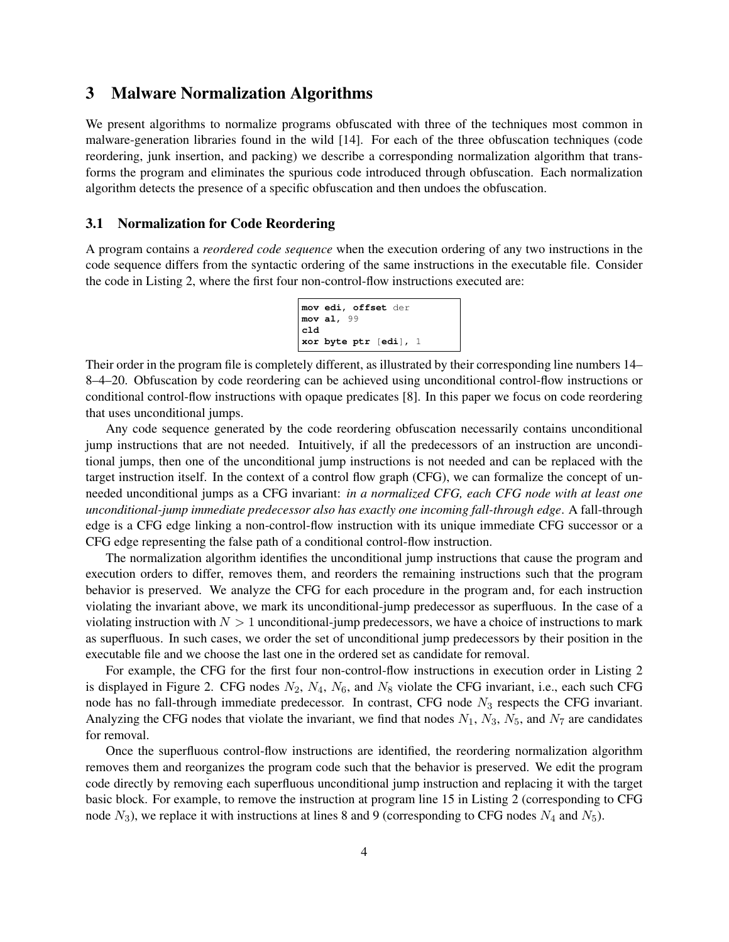### <span id="page-3-0"></span>3 Malware Normalization Algorithms

We present algorithms to normalize programs obfuscated with three of the techniques most common in malware-generation libraries found in the wild [14]. For each of the three obfuscation techniques (code reordering, junk insertion, and packing) we describe a corresponding normalization algorithm that transforms the program and eliminates the spurious code introduced through obfuscation. Each normalization algorithm detects the presence of a specific obfuscation and then undoes the obfuscation.

#### 3.1 Normalization for Code Reordering

A program contains a *reordered code sequence* when the execution ordering of any two instructions in the code sequence differs from the syntactic ordering of the same instructions in the executable file. Consider the code in [Listing 2,](#page-2-1) where the first four non-control-flow instructions executed are:

```
mov edi, offset der
mov al, 99
cld
xor byte ptr [edi], 1
```
Their order in the program file is completely different, as illustrated by their corresponding line numbers 14– 8–4–20. Obfuscation by code reordering can be achieved using unconditional control-flow instructions or conditional control-flow instructions with opaque predicates [8]. In this paper we focus on code reordering that uses unconditional jumps.

Any code sequence generated by the code reordering obfuscation necessarily contains unconditional jump instructions that are not needed. Intuitively, if all the predecessors of an instruction are unconditional jumps, then one of the unconditional jump instructions is not needed and can be replaced with the target instruction itself. In the context of a control flow graph (CFG), we can formalize the concept of unneeded unconditional jumps as a CFG invariant: *in a normalized CFG, each CFG node with at least one unconditional-jump immediate predecessor also has exactly one incoming fall-through edge*. A fall-through edge is a CFG edge linking a non-control-flow instruction with its unique immediate CFG successor or a CFG edge representing the false path of a conditional control-flow instruction.

The normalization algorithm identifies the unconditional jump instructions that cause the program and execution orders to differ, removes them, and reorders the remaining instructions such that the program behavior is preserved. We analyze the CFG for each procedure in the program and, for each instruction violating the invariant above, we mark its unconditional-jump predecessor as superfluous. In the case of a violating instruction with  $N > 1$  unconditional-jump predecessors, we have a choice of instructions to mark as superfluous. In such cases, we order the set of unconditional jump predecessors by their position in the executable file and we choose the last one in the ordered set as candidate for removal.

For example, the CFG for the first four non-control-flow instructions in execution order in [Listing 2](#page-2-1) is displayed in [Figure 2.](#page-4-0) CFG nodes  $N_2$ ,  $N_4$ ,  $N_6$ , and  $N_8$  violate the CFG invariant, i.e., each such CFG node has no fall-through immediate predecessor. In contrast, CFG node  $N_3$  respects the CFG invariant. Analyzing the CFG nodes that violate the invariant, we find that nodes  $N_1$ ,  $N_3$ ,  $N_5$ , and  $N_7$  are candidates for removal.

Once the superfluous control-flow instructions are identified, the reordering normalization algorithm removes them and reorganizes the program code such that the behavior is preserved. We edit the program code directly by removing each superfluous unconditional jump instruction and replacing it with the target basic block. For example, to remove the instruction at program line 15 in [Listing 2](#page-2-1) (corresponding to CFG node  $N_3$ ), we replace it with instructions at lines 8 and 9 (corresponding to CFG nodes  $N_4$  and  $N_5$ ).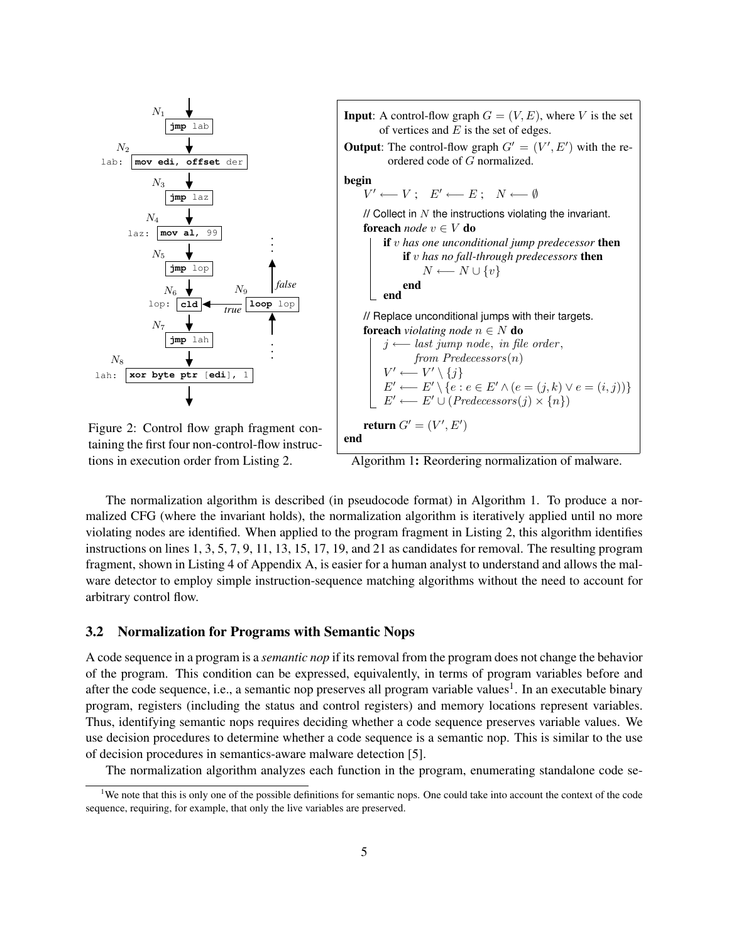

<span id="page-4-0"></span>taining the first four non-control-flow instructions in execution order from [Listing 2.](#page-2-1)

<span id="page-4-1"></span>Algorithm 1: Reordering normalization of malware.

The normalization algorithm is described (in pseudocode format) in [Algorithm 1.](#page-4-1) To produce a normalized CFG (where the invariant holds), the normalization algorithm is iteratively applied until no more violating nodes are identified. When applied to the program fragment in [Listing 2,](#page-2-1) this algorithm identifies instructions on lines 1, 3, 5, 7, 9, 11, 13, 15, 17, 19, and 21 as candidates for removal. The resulting program fragment, shown in [Listing 4](#page-15-0) of Appendix [A,](#page-14-0) is easier for a human analyst to understand and allows the malware detector to employ simple instruction-sequence matching algorithms without the need to account for arbitrary control flow.

#### <span id="page-4-3"></span>3.2 Normalization for Programs with Semantic Nops

A code sequence in a program is a *semantic nop* if its removal from the program does not change the behavior of the program. This condition can be expressed, equivalently, in terms of program variables before and after the code sequence, i.e., a semantic nop preserves all program variable values<sup>[1](#page-4-2)</sup>. In an executable binary program, registers (including the status and control registers) and memory locations represent variables. Thus, identifying semantic nops requires deciding whether a code sequence preserves variable values. We use decision procedures to determine whether a code sequence is a semantic nop. This is similar to the use of decision procedures in semantics-aware malware detection [5].

<span id="page-4-2"></span>The normalization algorithm analyzes each function in the program, enumerating standalone code se-

<sup>&</sup>lt;sup>1</sup>We note that this is only one of the possible definitions for semantic nops. One could take into account the context of the code sequence, requiring, for example, that only the live variables are preserved.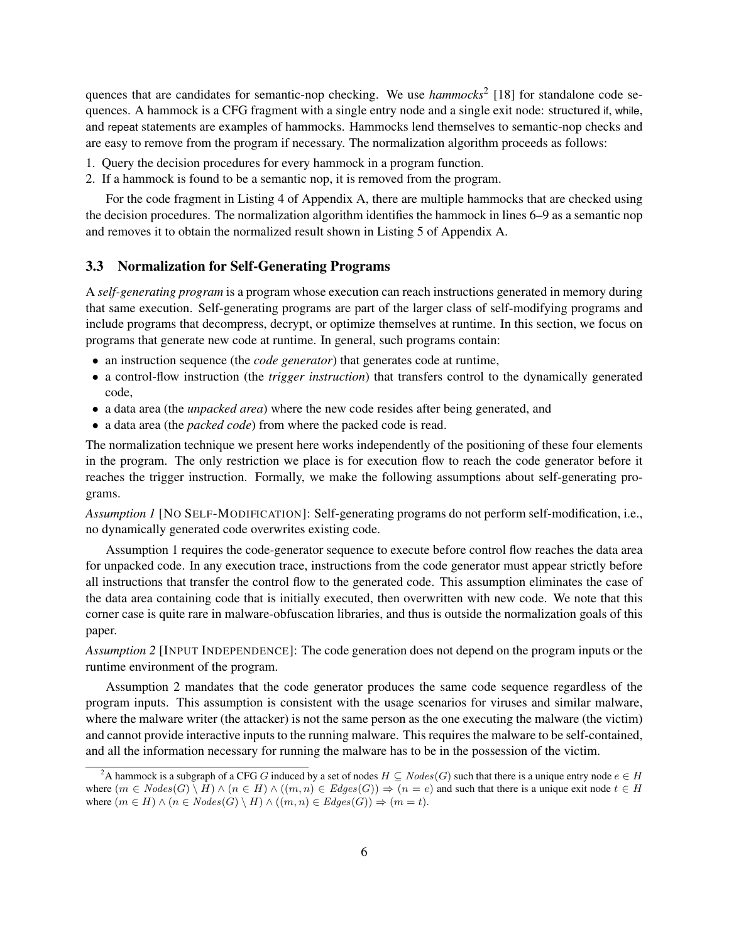quences that are candidates for semantic-nop checking. We use *hammocks*<sup>[2](#page-5-0)</sup> [18] for standalone code sequences. A hammock is a CFG fragment with a single entry node and a single exit node: structured if, while, and repeat statements are examples of hammocks. Hammocks lend themselves to semantic-nop checks and are easy to remove from the program if necessary. The normalization algorithm proceeds as follows:

- 1. Query the decision procedures for every hammock in a program function.
- 2. If a hammock is found to be a semantic nop, it is removed from the program.

For the code fragment in [Listing 4](#page-15-0) of Appendix [A,](#page-14-0) there are multiple hammocks that are checked using the decision procedures. The normalization algorithm identifies the hammock in lines [6](#page-15-1)[–9](#page-15-2) as a semantic nop and removes it to obtain the normalized result shown in [Listing 5](#page-15-3) of Appendix [A.](#page-14-0)

#### 3.3 Normalization for Self-Generating Programs

A *self-generating program* is a program whose execution can reach instructions generated in memory during that same execution. Self-generating programs are part of the larger class of self-modifying programs and include programs that decompress, decrypt, or optimize themselves at runtime. In this section, we focus on programs that generate new code at runtime. In general, such programs contain:

- an instruction sequence (the *code generator*) that generates code at runtime,
- a control-flow instruction (the *trigger instruction*) that transfers control to the dynamically generated code,
- a data area (the *unpacked area*) where the new code resides after being generated, and
- a data area (the *packed code*) from where the packed code is read.

The normalization technique we present here works independently of the positioning of these four elements in the program. The only restriction we place is for execution flow to reach the code generator before it reaches the trigger instruction. Formally, we make the following assumptions about self-generating programs.

*Assumption 1* [NO SELF-MODIFICATION]: Self-generating programs do not perform self-modification, i.e., no dynamically generated code overwrites existing code.

Assumption 1 requires the code-generator sequence to execute before control flow reaches the data area for unpacked code. In any execution trace, instructions from the code generator must appear strictly before all instructions that transfer the control flow to the generated code. This assumption eliminates the case of the data area containing code that is initially executed, then overwritten with new code. We note that this corner case is quite rare in malware-obfuscation libraries, and thus is outside the normalization goals of this paper.

*Assumption 2* [INPUT INDEPENDENCE]: The code generation does not depend on the program inputs or the runtime environment of the program.

Assumption 2 mandates that the code generator produces the same code sequence regardless of the program inputs. This assumption is consistent with the usage scenarios for viruses and similar malware, where the malware writer (the attacker) is not the same person as the one executing the malware (the victim) and cannot provide interactive inputs to the running malware. This requires the malware to be self-contained, and all the information necessary for running the malware has to be in the possession of the victim.

<span id="page-5-0"></span><sup>&</sup>lt;sup>2</sup>A hammock is a subgraph of a CFG G induced by a set of nodes  $H \subseteq Nodes(G)$  such that there is a unique entry node  $e \in H$ where  $(m \in Nodes(G) \setminus H) \wedge (n \in H) \wedge ((m, n) \in Edges(G)) \Rightarrow (n = e)$  and such that there is a unique exit node  $t \in H$ where  $(m \in H) \wedge (n \in Nodes(G) \setminus H) \wedge ((m, n) \in Edges(G)) \Rightarrow (m = t).$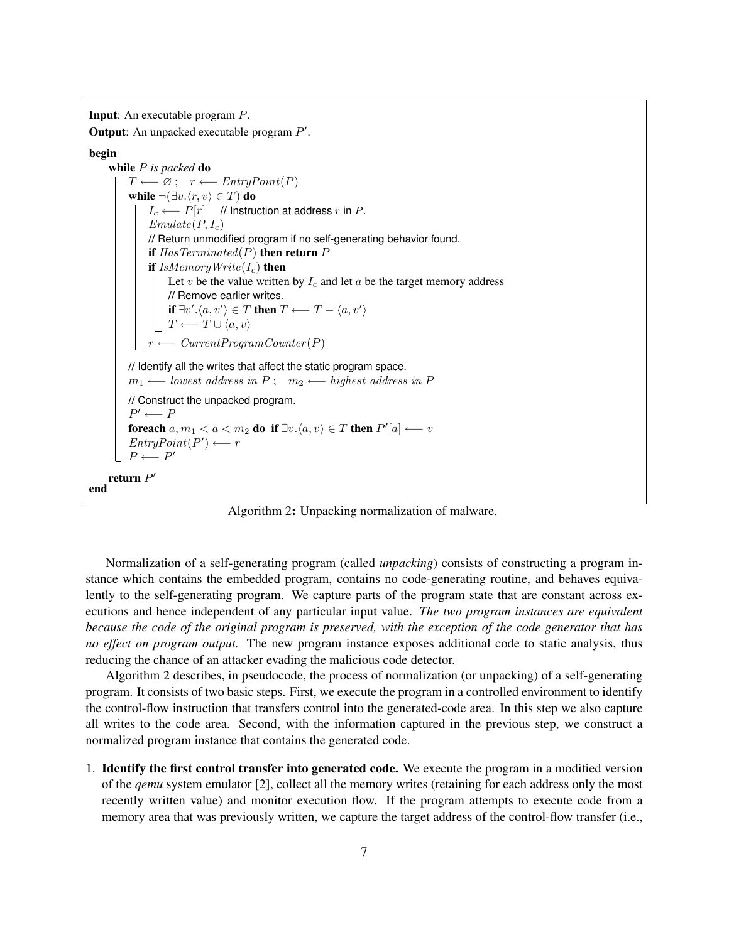```
Input: An executable program P.
Output: An unpacked executable program P'.
begin
     while P is packed do
          T \longleftarrow \varnothing; r \longleftarrow EntryPoint(P)while \neg(\exists v.\langle r, v\rangle \in T) do
               I_c \longleftarrow P[r] // Instruction at address r in P.
               Emulate(P, I_c)// Return unmodified program if no self-generating behavior found.
               if HasTerminated(P) then return Pif IsMemoryWrite(I_c) then
                    Let v be the value written by I_c and let a be the target memory address
                    // Remove earlier writes.
                     if \exists v'.\langle a, v' \rangle \in T then T \longleftarrow T - \langle a, v' \rangleT \longleftarrow T \cup \langle a, v \rangler \longleftarrow CurrentProgramCounter(P)// Identify all the writes that affect the static program space.
          m_1 \longleftarrow lowest address in P; m_2 \longleftarrow highest address in P
          // Construct the unpacked program.
          P' \longleftarrow Pforeach a, m_1 < a < m_2 do if \exists v.\langle a, v \rangle \in T then P'[a] \longleftarrow vEntropyPoint(P') \longleftarrow rP \longleftarrow P'return P'end
```
Algorithm 2: Unpacking normalization of malware.

<span id="page-6-0"></span>Normalization of a self-generating program (called *unpacking*) consists of constructing a program instance which contains the embedded program, contains no code-generating routine, and behaves equivalently to the self-generating program. We capture parts of the program state that are constant across executions and hence independent of any particular input value. *The two program instances are equivalent because the code of the original program is preserved, with the exception of the code generator that has no effect on program output.* The new program instance exposes additional code to static analysis, thus reducing the chance of an attacker evading the malicious code detector.

[Algorithm 2](#page-6-0) describes, in pseudocode, the process of normalization (or unpacking) of a self-generating program. It consists of two basic steps. First, we execute the program in a controlled environment to identify the control-flow instruction that transfers control into the generated-code area. In this step we also capture all writes to the code area. Second, with the information captured in the previous step, we construct a normalized program instance that contains the generated code.

1. Identify the first control transfer into generated code. We execute the program in a modified version of the *qemu* system emulator [2], collect all the memory writes (retaining for each address only the most recently written value) and monitor execution flow. If the program attempts to execute code from a memory area that was previously written, we capture the target address of the control-flow transfer (i.e.,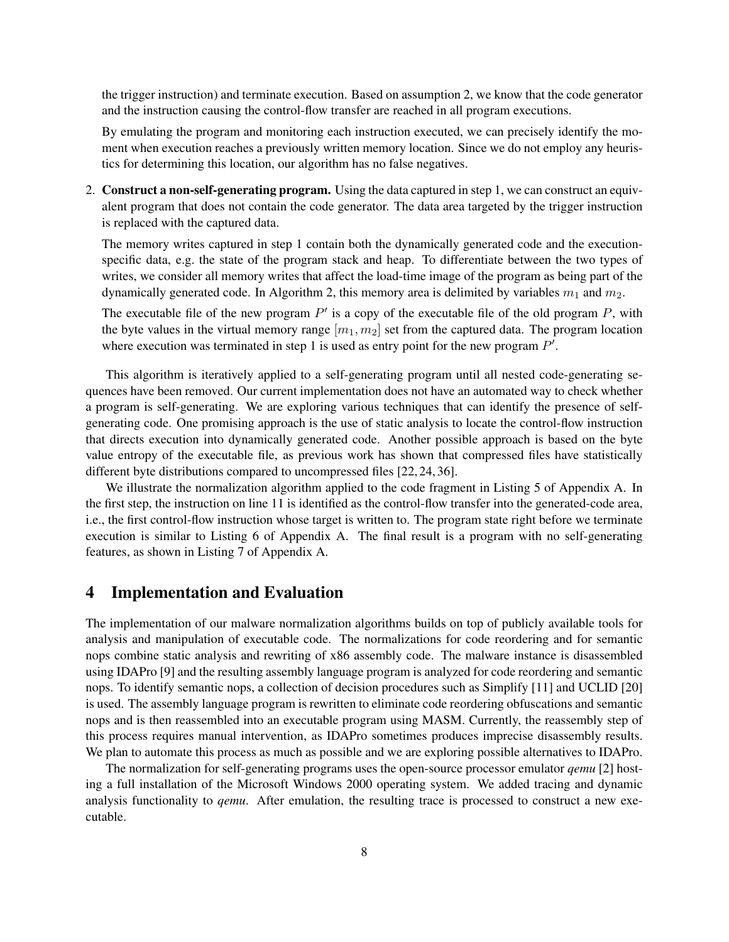the trigger instruction) and terminate execution. Based on assumption 2, we know that the code generator and the instruction causing the control-flow transfer are reached in all program executions.

By emulating the program and monitoring each instruction executed, we can precisely identify the moment when execution reaches a previously written memory location. Since we do not employ any heuristics for determining this location, our algorithm has no false negatives.

2. Construct a non-self-generating program. Using the data captured in step 1, we can construct an equivalent program that does not contain the code generator. The data area targeted by the trigger instruction is replaced with the captured data.

The memory writes captured in step 1 contain both the dynamically generated code and the executionspecific data, e.g. the state of the program stack and heap. To differentiate between the two types of writes, we consider all memory writes that affect the load-time image of the program as being part of the dynamically generated code. In [Algorithm 2,](#page-6-0) this memory area is delimited by variables  $m_1$  and  $m_2$ .

The executable file of the new program  $P'$  is a copy of the executable file of the old program  $P$ , with the byte values in the virtual memory range  $[m_1, m_2]$  set from the captured data. The program location where execution was terminated in step 1 is used as entry point for the new program  $P'$ .

This algorithm is iteratively applied to a self-generating program until all nested code-generating sequences have been removed. Our current implementation does not have an automated way to check whether a program is self-generating. We are exploring various techniques that can identify the presence of selfgenerating code. One promising approach is the use of static analysis to locate the control-flow instruction that directs execution into dynamically generated code. Another possible approach is based on the byte value entropy of the executable file, as previous work has shown that compressed files have statistically different byte distributions compared to uncompressed files [22, 24, 36].

We illustrate the normalization algorithm applied to the code fragment in [Listing 5](#page-15-3) of Appendix [A.](#page-14-0) In the first step, the instruction on line 11 is identified as the control-flow transfer into the generated-code area, i.e., the first control-flow instruction whose target is written to. The program state right before we terminate execution is similar to [Listing 6](#page-16-0) of Appendix [A.](#page-14-0) The final result is a program with no self-generating features, as shown in [Listing 7](#page-16-1) of Appendix [A.](#page-14-0)

### <span id="page-7-0"></span>4 Implementation and Evaluation

The implementation of our malware normalization algorithms builds on top of publicly available tools for analysis and manipulation of executable code. The normalizations for code reordering and for semantic nops combine static analysis and rewriting of x86 assembly code. The malware instance is disassembled using IDAPro [9] and the resulting assembly language program is analyzed for code reordering and semantic nops. To identify semantic nops, a collection of decision procedures such as Simplify [11] and UCLID [20] is used. The assembly language program is rewritten to eliminate code reordering obfuscations and semantic nops and is then reassembled into an executable program using MASM. Currently, the reassembly step of this process requires manual intervention, as IDAPro sometimes produces imprecise disassembly results. We plan to automate this process as much as possible and we are exploring possible alternatives to IDAPro.

The normalization for self-generating programs uses the open-source processor emulator *qemu* [2] hosting a full installation of the Microsoft Windows 2000 operating system. We added tracing and dynamic analysis functionality to *qemu*. After emulation, the resulting trace is processed to construct a new executable.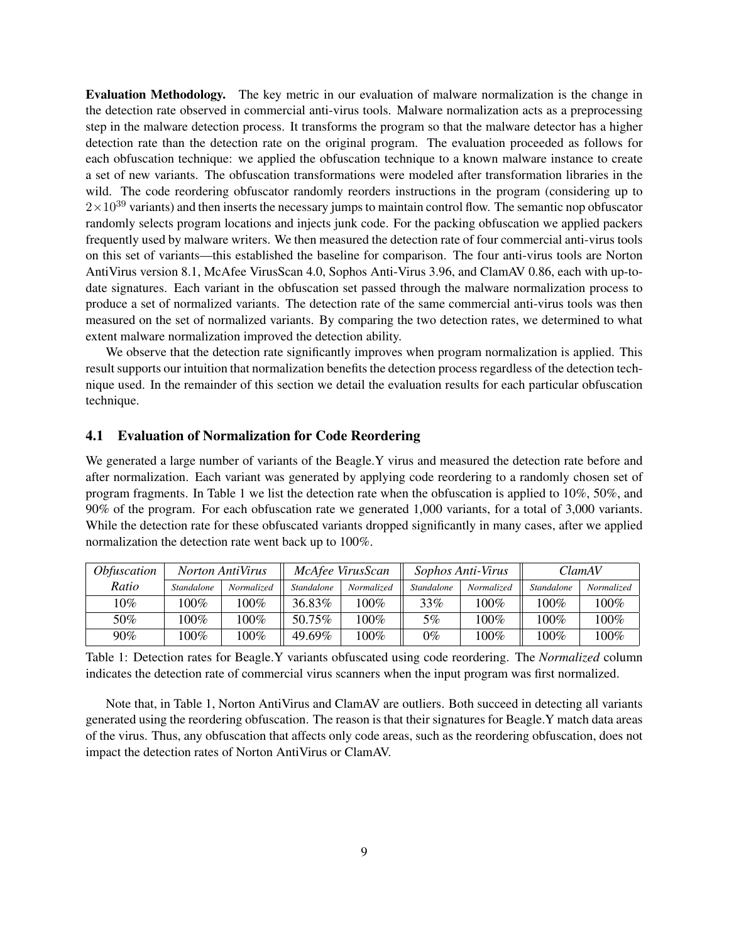Evaluation Methodology. The key metric in our evaluation of malware normalization is the change in the detection rate observed in commercial anti-virus tools. Malware normalization acts as a preprocessing step in the malware detection process. It transforms the program so that the malware detector has a higher detection rate than the detection rate on the original program. The evaluation proceeded as follows for each obfuscation technique: we applied the obfuscation technique to a known malware instance to create a set of new variants. The obfuscation transformations were modeled after transformation libraries in the wild. The code reordering obfuscator randomly reorders instructions in the program (considering up to  $2\times10^{39}$  variants) and then inserts the necessary jumps to maintain control flow. The semantic nop obfuscator randomly selects program locations and injects junk code. For the packing obfuscation we applied packers frequently used by malware writers. We then measured the detection rate of four commercial anti-virus tools on this set of variants—this established the baseline for comparison. The four anti-virus tools are Norton AntiVirus version 8.1, McAfee VirusScan 4.0, Sophos Anti-Virus 3.96, and ClamAV 0.86, each with up-todate signatures. Each variant in the obfuscation set passed through the malware normalization process to produce a set of normalized variants. The detection rate of the same commercial anti-virus tools was then measured on the set of normalized variants. By comparing the two detection rates, we determined to what extent malware normalization improved the detection ability.

We observe that the detection rate significantly improves when program normalization is applied. This result supports our intuition that normalization benefits the detection process regardless of the detection technique used. In the remainder of this section we detail the evaluation results for each particular obfuscation technique.

#### 4.1 Evaluation of Normalization for Code Reordering

We generated a large number of variants of the Beagle.Y virus and measured the detection rate before and after normalization. Each variant was generated by applying code reordering to a randomly chosen set of program fragments. In [Table 1](#page-8-0) we list the detection rate when the obfuscation is applied to 10%, 50%, and 90% of the program. For each obfuscation rate we generated 1,000 variants, for a total of 3,000 variants. While the detection rate for these obfuscated variants dropped significantly in many cases, after we applied normalization the detection rate went back up to 100%.

<span id="page-8-0"></span>

| <i>Obfuscation</i> |                   | <i>Norton AntiVirus</i> |                   | McAfee VirusScan |                   | Sophos Anti-Virus |                   | ClamAV     |  |
|--------------------|-------------------|-------------------------|-------------------|------------------|-------------------|-------------------|-------------------|------------|--|
| Ratio              | <i>Standalone</i> | Normalized              | <b>Standalone</b> | Normalized       | <b>Standalone</b> | Normalized        | <b>Standalone</b> | Normalized |  |
| 10%                | 100%              | 100%                    | 36.83%            | $100\%$          | 33%               | $100\%$           | $100\%$           | $100\%$    |  |
| 50%                | $100\%$           | $100\%$                 | 50.75%            | 100%             | 5%                | $100\%$           | $100\%$           | 100%       |  |
| $90\%$             | $100\%$           | $100\%$                 | 49.69%            | 100%             | $0\%$             | 100%              | 100%              | 100%       |  |

Table 1: Detection rates for Beagle.Y variants obfuscated using code reordering. The *Normalized* column indicates the detection rate of commercial virus scanners when the input program was first normalized.

Note that, in [Table 1,](#page-8-0) Norton AntiVirus and ClamAV are outliers. Both succeed in detecting all variants generated using the reordering obfuscation. The reason is that their signatures for Beagle.Y match data areas of the virus. Thus, any obfuscation that affects only code areas, such as the reordering obfuscation, does not impact the detection rates of Norton AntiVirus or ClamAV.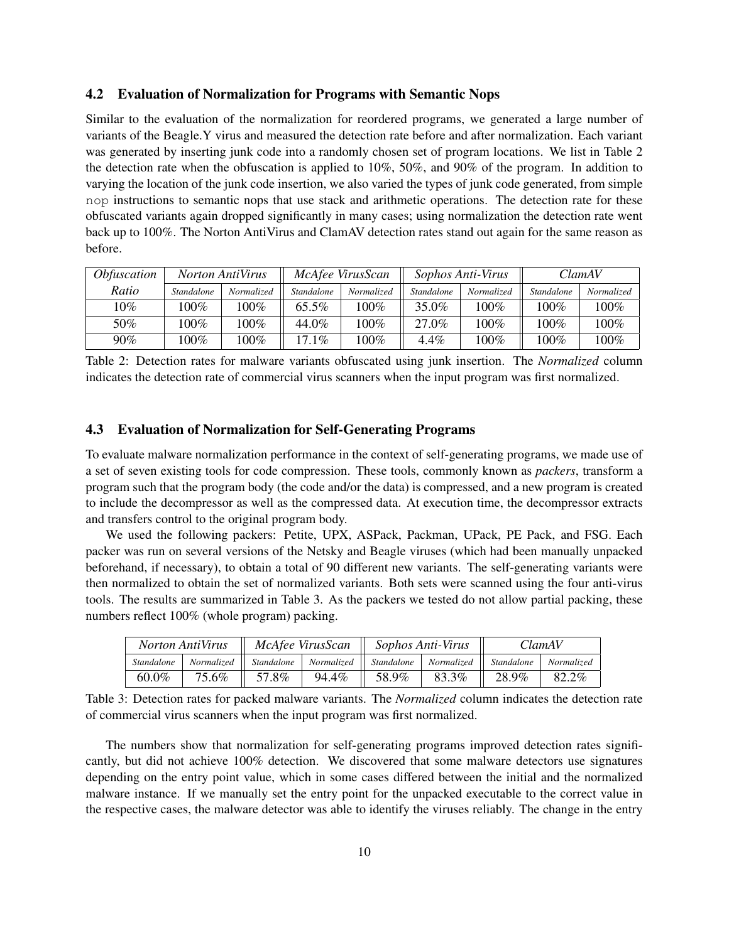#### 4.2 Evaluation of Normalization for Programs with Semantic Nops

Similar to the evaluation of the normalization for reordered programs, we generated a large number of variants of the Beagle.Y virus and measured the detection rate before and after normalization. Each variant was generated by inserting junk code into a randomly chosen set of program locations. We list in [Table 2](#page-9-0) the detection rate when the obfuscation is applied to 10%, 50%, and 90% of the program. In addition to varying the location of the junk code insertion, we also varied the types of junk code generated, from simple nop instructions to semantic nops that use stack and arithmetic operations. The detection rate for these obfuscated variants again dropped significantly in many cases; using normalization the detection rate went back up to 100%. The Norton AntiVirus and ClamAV detection rates stand out again for the same reason as before.

<span id="page-9-0"></span>

| <i>Obfuscation</i> | <i>Norton AntiVirus</i> |            | McAfee VirusScan  |            | Sophos Anti-Virus |            | ClamAV            |            |
|--------------------|-------------------------|------------|-------------------|------------|-------------------|------------|-------------------|------------|
| Ratio              | <i>Standalone</i>       | Normalized | <b>Standalone</b> | Normalized | <b>Standalone</b> | Normalized | <b>Standalone</b> | Normalized |
| 10%                | 100%                    | 100%       | $65.5\%$          | $100\%$    | 35.0%             | $100\%$    | $100\%$           | $100\%$    |
| 50%                | $100\%$                 | $100\%$    | 44.0%             | 100%       | 27.0%             | 100%       | $100\%$           | 100%       |
| $90\%$             | $100\%$                 | 100%       | $17.1\%$          | $100\%$    | $4.4\%$           | $100\%$    | $100\%$           | $100\%$    |

Table 2: Detection rates for malware variants obfuscated using junk insertion. The *Normalized* column indicates the detection rate of commercial virus scanners when the input program was first normalized.

#### 4.3 Evaluation of Normalization for Self-Generating Programs

To evaluate malware normalization performance in the context of self-generating programs, we made use of a set of seven existing tools for code compression. These tools, commonly known as *packers*, transform a program such that the program body (the code and/or the data) is compressed, and a new program is created to include the decompressor as well as the compressed data. At execution time, the decompressor extracts and transfers control to the original program body.

We used the following packers: Petite, UPX, ASPack, Packman, UPack, PE Pack, and FSG. Each packer was run on several versions of the Netsky and Beagle viruses (which had been manually unpacked beforehand, if necessary), to obtain a total of 90 different new variants. The self-generating variants were then normalized to obtain the set of normalized variants. Both sets were scanned using the four anti-virus tools. The results are summarized in [Table 3.](#page-9-1) As the packers we tested do not allow partial packing, these numbers reflect 100% (whole program) packing.

<span id="page-9-1"></span>

| <b>Norton AntiVirus</b> |                       | McAfee VirusScan |            | Sophos Anti-Virus |            | ClamAV                  |                   |
|-------------------------|-----------------------|------------------|------------|-------------------|------------|-------------------------|-------------------|
| Standalone              | Normalized Standalone |                  | Normalized | Standalone        | Normalized | <sup>'</sup> Standalone | <b>Normalized</b> |
| $60.0\%$                | 75.6%                 | 57.8%            | 94.4%      | 58.9%             | 83.3%      | 28.9%                   | 82.2%             |

Table 3: Detection rates for packed malware variants. The *Normalized* column indicates the detection rate of commercial virus scanners when the input program was first normalized.

The numbers show that normalization for self-generating programs improved detection rates significantly, but did not achieve 100% detection. We discovered that some malware detectors use signatures depending on the entry point value, which in some cases differed between the initial and the normalized malware instance. If we manually set the entry point for the unpacked executable to the correct value in the respective cases, the malware detector was able to identify the viruses reliably. The change in the entry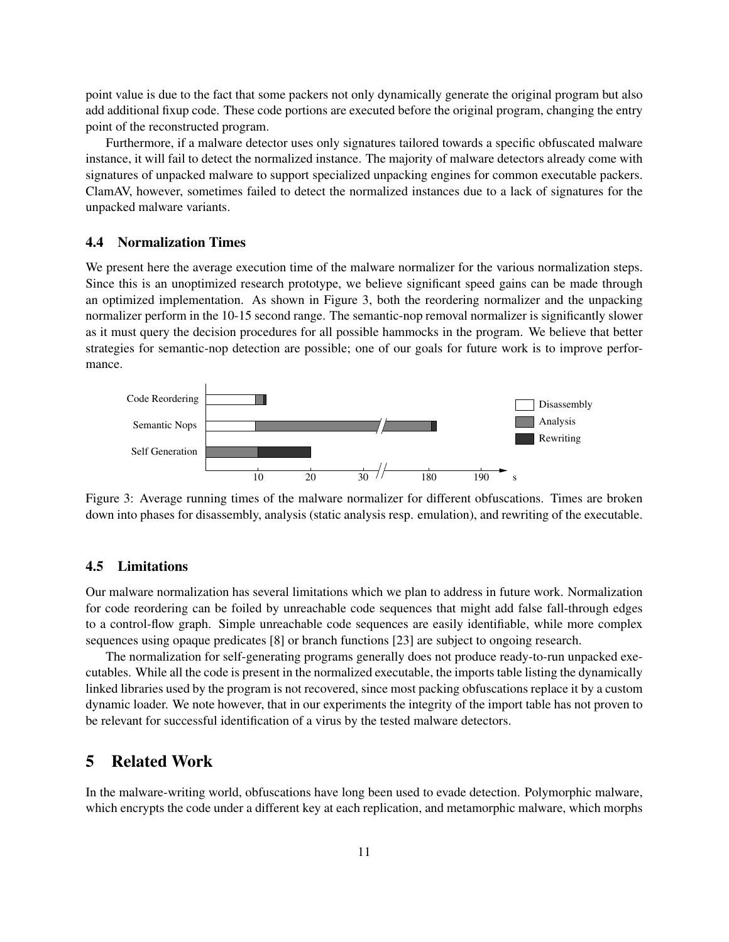point value is due to the fact that some packers not only dynamically generate the original program but also add additional fixup code. These code portions are executed before the original program, changing the entry point of the reconstructed program.

Furthermore, if a malware detector uses only signatures tailored towards a specific obfuscated malware instance, it will fail to detect the normalized instance. The majority of malware detectors already come with signatures of unpacked malware to support specialized unpacking engines for common executable packers. ClamAV, however, sometimes failed to detect the normalized instances due to a lack of signatures for the unpacked malware variants.

#### 4.4 Normalization Times

We present here the average execution time of the malware normalizer for the various normalization steps. Since this is an unoptimized research prototype, we believe significant speed gains can be made through an optimized implementation. As shown in [Figure 3,](#page-10-1) both the reordering normalizer and the unpacking normalizer perform in the 10-15 second range. The semantic-nop removal normalizer is significantly slower as it must query the decision procedures for all possible hammocks in the program. We believe that better strategies for semantic-nop detection are possible; one of our goals for future work is to improve performance.

<span id="page-10-1"></span>

Figure 3: Average running times of the malware normalizer for different obfuscations. Times are broken down into phases for disassembly, analysis (static analysis resp. emulation), and rewriting of the executable.

### 4.5 Limitations

Our malware normalization has several limitations which we plan to address in future work. Normalization for code reordering can be foiled by unreachable code sequences that might add false fall-through edges to a control-flow graph. Simple unreachable code sequences are easily identifiable, while more complex sequences using opaque predicates [8] or branch functions [23] are subject to ongoing research.

The normalization for self-generating programs generally does not produce ready-to-run unpacked executables. While all the code is present in the normalized executable, the imports table listing the dynamically linked libraries used by the program is not recovered, since most packing obfuscations replace it by a custom dynamic loader. We note however, that in our experiments the integrity of the import table has not proven to be relevant for successful identification of a virus by the tested malware detectors.

# <span id="page-10-0"></span>5 Related Work

In the malware-writing world, obfuscations have long been used to evade detection. Polymorphic malware, which encrypts the code under a different key at each replication, and metamorphic malware, which morphs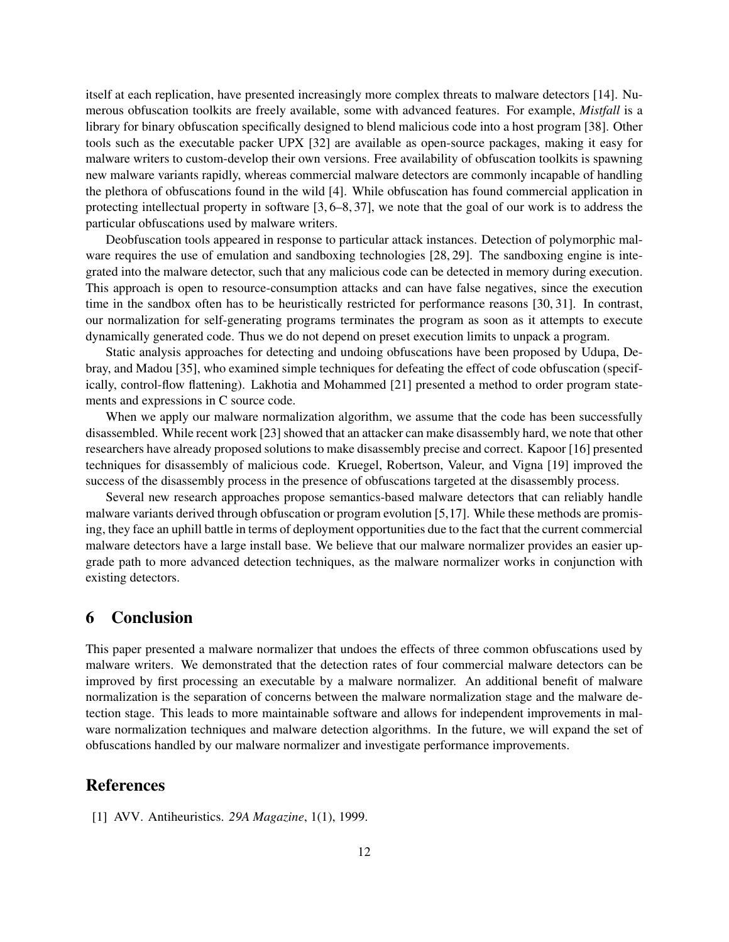itself at each replication, have presented increasingly more complex threats to malware detectors [14]. Numerous obfuscation toolkits are freely available, some with advanced features. For example, *Mistfall* is a library for binary obfuscation specifically designed to blend malicious code into a host program [38]. Other tools such as the executable packer UPX [32] are available as open-source packages, making it easy for malware writers to custom-develop their own versions. Free availability of obfuscation toolkits is spawning new malware variants rapidly, whereas commercial malware detectors are commonly incapable of handling the plethora of obfuscations found in the wild [4]. While obfuscation has found commercial application in protecting intellectual property in software [3, 6–8, 37], we note that the goal of our work is to address the particular obfuscations used by malware writers.

Deobfuscation tools appeared in response to particular attack instances. Detection of polymorphic malware requires the use of emulation and sandboxing technologies [28, 29]. The sandboxing engine is integrated into the malware detector, such that any malicious code can be detected in memory during execution. This approach is open to resource-consumption attacks and can have false negatives, since the execution time in the sandbox often has to be heuristically restricted for performance reasons [30, 31]. In contrast, our normalization for self-generating programs terminates the program as soon as it attempts to execute dynamically generated code. Thus we do not depend on preset execution limits to unpack a program.

Static analysis approaches for detecting and undoing obfuscations have been proposed by Udupa, Debray, and Madou [35], who examined simple techniques for defeating the effect of code obfuscation (specifically, control-flow flattening). Lakhotia and Mohammed [21] presented a method to order program statements and expressions in C source code.

When we apply our malware normalization algorithm, we assume that the code has been successfully disassembled. While recent work [23] showed that an attacker can make disassembly hard, we note that other researchers have already proposed solutions to make disassembly precise and correct. Kapoor [16] presented techniques for disassembly of malicious code. Kruegel, Robertson, Valeur, and Vigna [19] improved the success of the disassembly process in the presence of obfuscations targeted at the disassembly process.

Several new research approaches propose semantics-based malware detectors that can reliably handle malware variants derived through obfuscation or program evolution [5,17]. While these methods are promising, they face an uphill battle in terms of deployment opportunities due to the fact that the current commercial malware detectors have a large install base. We believe that our malware normalizer provides an easier upgrade path to more advanced detection techniques, as the malware normalizer works in conjunction with existing detectors.

# 6 Conclusion

This paper presented a malware normalizer that undoes the effects of three common obfuscations used by malware writers. We demonstrated that the detection rates of four commercial malware detectors can be improved by first processing an executable by a malware normalizer. An additional benefit of malware normalization is the separation of concerns between the malware normalization stage and the malware detection stage. This leads to more maintainable software and allows for independent improvements in malware normalization techniques and malware detection algorithms. In the future, we will expand the set of obfuscations handled by our malware normalizer and investigate performance improvements.

### References

[1] AVV. Antiheuristics. *29A Magazine*, 1(1), 1999.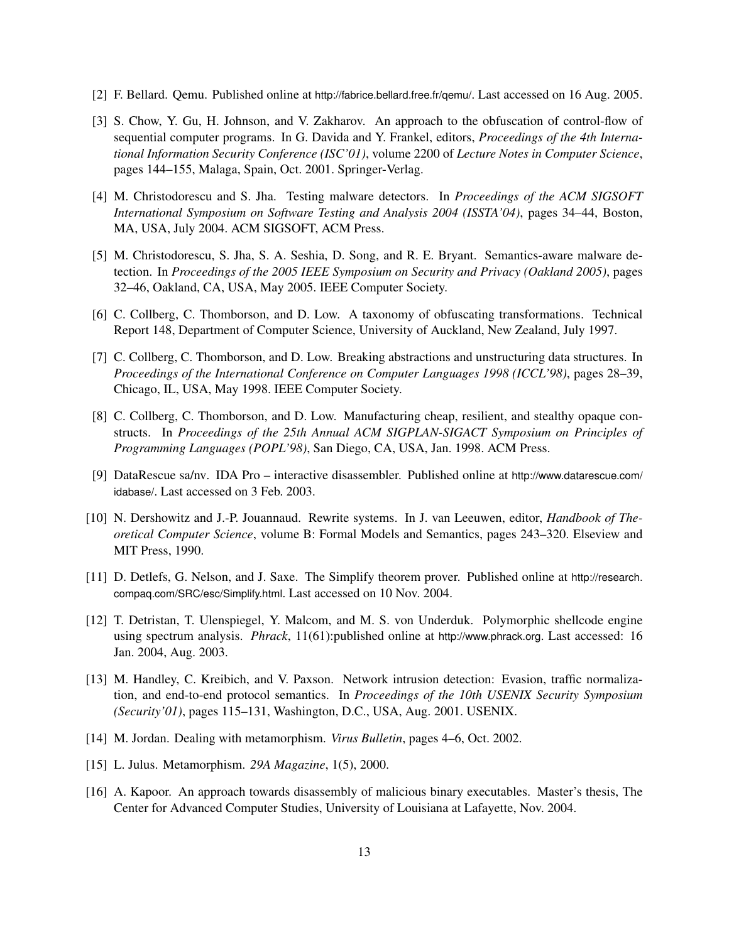- [2] F. Bellard. Qemu. Published online at <http://fabrice.bellard.free.fr/qemu/>. Last accessed on 16 Aug. 2005.
- [3] S. Chow, Y. Gu, H. Johnson, and V. Zakharov. An approach to the obfuscation of control-flow of sequential computer programs. In G. Davida and Y. Frankel, editors, *Proceedings of the 4th International Information Security Conference (ISC'01)*, volume 2200 of *Lecture Notes in Computer Science*, pages 144–155, Malaga, Spain, Oct. 2001. Springer-Verlag.
- [4] M. Christodorescu and S. Jha. Testing malware detectors. In *Proceedings of the ACM SIGSOFT International Symposium on Software Testing and Analysis 2004 (ISSTA'04)*, pages 34–44, Boston, MA, USA, July 2004. ACM SIGSOFT, ACM Press.
- [5] M. Christodorescu, S. Jha, S. A. Seshia, D. Song, and R. E. Bryant. Semantics-aware malware detection. In *Proceedings of the 2005 IEEE Symposium on Security and Privacy (Oakland 2005)*, pages 32–46, Oakland, CA, USA, May 2005. IEEE Computer Society.
- [6] C. Collberg, C. Thomborson, and D. Low. A taxonomy of obfuscating transformations. Technical Report 148, Department of Computer Science, University of Auckland, New Zealand, July 1997.
- [7] C. Collberg, C. Thomborson, and D. Low. Breaking abstractions and unstructuring data structures. In *Proceedings of the International Conference on Computer Languages 1998 (ICCL'98)*, pages 28–39, Chicago, IL, USA, May 1998. IEEE Computer Society.
- [8] C. Collberg, C. Thomborson, and D. Low. Manufacturing cheap, resilient, and stealthy opaque constructs. In *Proceedings of the 25th Annual ACM SIGPLAN-SIGACT Symposium on Principles of Programming Languages (POPL'98)*, San Diego, CA, USA, Jan. 1998. ACM Press.
- [9] DataRescue sa/nv. IDA Pro interactive disassembler. Published online at [http://www.datarescue.com/](http://www.datarescue.com/idabase/) [idabase/](http://www.datarescue.com/idabase/). Last accessed on 3 Feb. 2003.
- [10] N. Dershowitz and J.-P. Jouannaud. Rewrite systems. In J. van Leeuwen, editor, *Handbook of Theoretical Computer Science*, volume B: Formal Models and Semantics, pages 243–320. Elseview and MIT Press, 1990.
- [11] D. Detlefs, G. Nelson, and J. Saxe. The Simplify theorem prover. Published online at [http://research.](http://research.compaq.com/SRC/esc/Simplify.html) [compaq.com/SRC/esc/Simplify.html](http://research.compaq.com/SRC/esc/Simplify.html). Last accessed on 10 Nov. 2004.
- [12] T. Detristan, T. Ulenspiegel, Y. Malcom, and M. S. von Underduk. Polymorphic shellcode engine using spectrum analysis. *Phrack*, 11(61):published online at <http://www.phrack.org>. Last accessed: 16 Jan. 2004, Aug. 2003.
- [13] M. Handley, C. Kreibich, and V. Paxson. Network intrusion detection: Evasion, traffic normalization, and end-to-end protocol semantics. In *Proceedings of the 10th USENIX Security Symposium (Security'01)*, pages 115–131, Washington, D.C., USA, Aug. 2001. USENIX.
- [14] M. Jordan. Dealing with metamorphism. *Virus Bulletin*, pages 4–6, Oct. 2002.
- [15] L. Julus. Metamorphism. *29A Magazine*, 1(5), 2000.
- [16] A. Kapoor. An approach towards disassembly of malicious binary executables. Master's thesis, The Center for Advanced Computer Studies, University of Louisiana at Lafayette, Nov. 2004.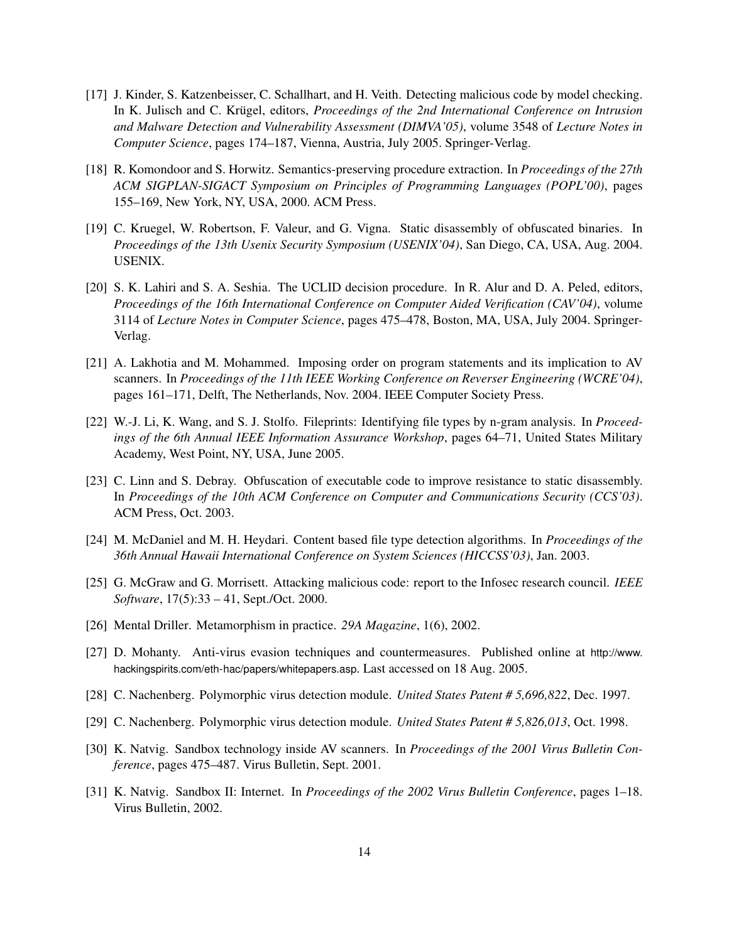- [17] J. Kinder, S. Katzenbeisser, C. Schallhart, and H. Veith. Detecting malicious code by model checking. In K. Julisch and C. Krügel, editors, Proceedings of the 2nd International Conference on Intrusion *and Malware Detection and Vulnerability Assessment (DIMVA'05)*, volume 3548 of *Lecture Notes in Computer Science*, pages 174–187, Vienna, Austria, July 2005. Springer-Verlag.
- [18] R. Komondoor and S. Horwitz. Semantics-preserving procedure extraction. In *Proceedings of the 27th ACM SIGPLAN-SIGACT Symposium on Principles of Programming Languages (POPL'00)*, pages 155–169, New York, NY, USA, 2000. ACM Press.
- [19] C. Kruegel, W. Robertson, F. Valeur, and G. Vigna. Static disassembly of obfuscated binaries. In *Proceedings of the 13th Usenix Security Symposium (USENIX'04)*, San Diego, CA, USA, Aug. 2004. USENIX.
- [20] S. K. Lahiri and S. A. Seshia. The UCLID decision procedure. In R. Alur and D. A. Peled, editors, *Proceedings of the 16th International Conference on Computer Aided Verification (CAV'04)*, volume 3114 of *Lecture Notes in Computer Science*, pages 475–478, Boston, MA, USA, July 2004. Springer-Verlag.
- [21] A. Lakhotia and M. Mohammed. Imposing order on program statements and its implication to AV scanners. In *Proceedings of the 11th IEEE Working Conference on Reverser Engineering (WCRE'04)*, pages 161–171, Delft, The Netherlands, Nov. 2004. IEEE Computer Society Press.
- [22] W.-J. Li, K. Wang, and S. J. Stolfo. Fileprints: Identifying file types by n-gram analysis. In *Proceedings of the 6th Annual IEEE Information Assurance Workshop*, pages 64–71, United States Military Academy, West Point, NY, USA, June 2005.
- [23] C. Linn and S. Debray. Obfuscation of executable code to improve resistance to static disassembly. In *Proceedings of the 10th ACM Conference on Computer and Communications Security (CCS'03)*. ACM Press, Oct. 2003.
- [24] M. McDaniel and M. H. Heydari. Content based file type detection algorithms. In *Proceedings of the 36th Annual Hawaii International Conference on System Sciences (HICCSS'03)*, Jan. 2003.
- [25] G. McGraw and G. Morrisett. Attacking malicious code: report to the Infosec research council. *IEEE Software*, 17(5):33 – 41, Sept./Oct. 2000.
- [26] Mental Driller. Metamorphism in practice. *29A Magazine*, 1(6), 2002.
- [27] D. Mohanty. Anti-virus evasion techniques and countermeasures. Published online at [http://www.](http://www.hackingspirits.com/eth-hac/papers/whitepapers.asp) [hackingspirits.com/eth-hac/papers/whitepapers.asp](http://www.hackingspirits.com/eth-hac/papers/whitepapers.asp). Last accessed on 18 Aug. 2005.
- [28] C. Nachenberg. Polymorphic virus detection module. *United States Patent # 5,696,822*, Dec. 1997.
- [29] C. Nachenberg. Polymorphic virus detection module. *United States Patent # 5,826,013*, Oct. 1998.
- [30] K. Natvig. Sandbox technology inside AV scanners. In *Proceedings of the 2001 Virus Bulletin Conference*, pages 475–487. Virus Bulletin, Sept. 2001.
- [31] K. Natvig. Sandbox II: Internet. In *Proceedings of the 2002 Virus Bulletin Conference*, pages 1–18. Virus Bulletin, 2002.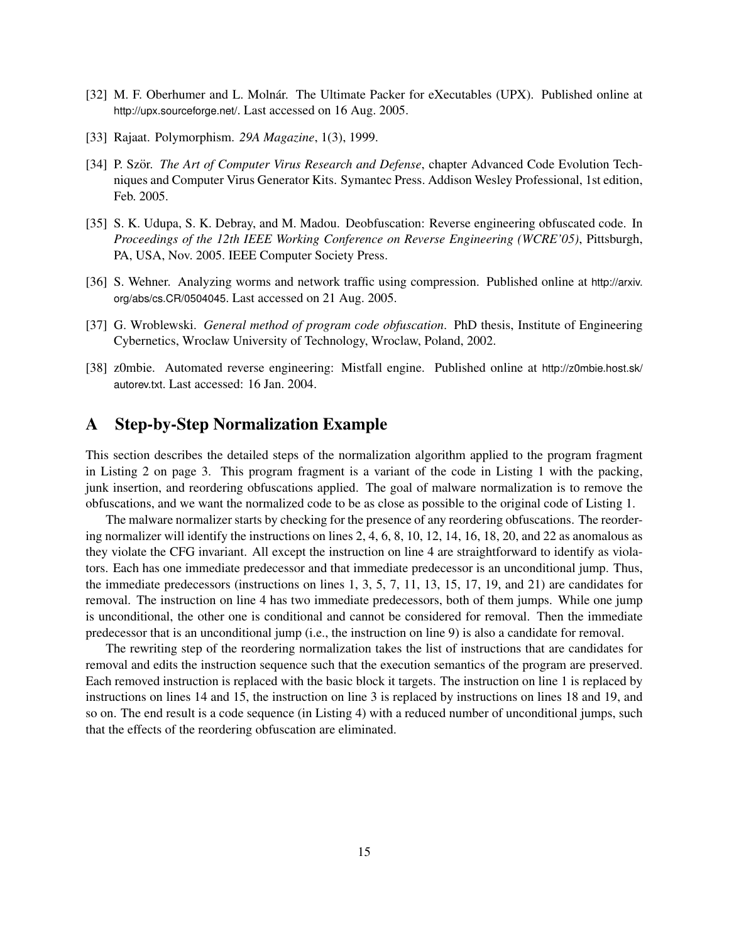- [32] M. F. Oberhumer and L. Molnár. The Ultimate Packer for eXecutables (UPX). Published online at <http://upx.sourceforge.net/>. Last accessed on 16 Aug. 2005.
- [33] Rajaat. Polymorphism. *29A Magazine*, 1(3), 1999.
- [34] P. Ször. *The Art of Computer Virus Research and Defense*, chapter Advanced Code Evolution Techniques and Computer Virus Generator Kits. Symantec Press. Addison Wesley Professional, 1st edition, Feb. 2005.
- [35] S. K. Udupa, S. K. Debray, and M. Madou. Deobfuscation: Reverse engineering obfuscated code. In *Proceedings of the 12th IEEE Working Conference on Reverse Engineering (WCRE'05)*, Pittsburgh, PA, USA, Nov. 2005. IEEE Computer Society Press.
- [36] S. Wehner. Analyzing worms and network traffic using compression. Published online at [http://arxiv.](http://arxiv.org/abs/cs.CR/0504045) [org/abs/cs.CR/0504045](http://arxiv.org/abs/cs.CR/0504045). Last accessed on 21 Aug. 2005.
- [37] G. Wroblewski. *General method of program code obfuscation*. PhD thesis, Institute of Engineering Cybernetics, Wroclaw University of Technology, Wroclaw, Poland, 2002.
- [38] z0mbie. Automated reverse engineering: Mistfall engine. Published online at [http://z0mbie.host.sk/](http://z0mbie.host.sk/autorev.txt) [autorev.txt](http://z0mbie.host.sk/autorev.txt). Last accessed: 16 Jan. 2004.

### <span id="page-14-0"></span>A Step-by-Step Normalization Example

This section describes the detailed steps of the normalization algorithm applied to the program fragment in [Listing 2](#page-2-1) on page [3.](#page-2-1) This program fragment is a variant of the code in [Listing 1](#page-2-0) with the packing, junk insertion, and reordering obfuscations applied. The goal of malware normalization is to remove the obfuscations, and we want the normalized code to be as close as possible to the original code of [Listing 1.](#page-2-0)

The malware normalizer starts by checking for the presence of any reordering obfuscations. The reordering normalizer will identify the instructions on lines 2, 4, 6, 8, 10, 12, 14, 16, 18, 20, and 22 as anomalous as they violate the CFG invariant. All except the instruction on line 4 are straightforward to identify as violators. Each has one immediate predecessor and that immediate predecessor is an unconditional jump. Thus, the immediate predecessors (instructions on lines 1, 3, 5, 7, 11, 13, 15, 17, 19, and 21) are candidates for removal. The instruction on line 4 has two immediate predecessors, both of them jumps. While one jump is unconditional, the other one is conditional and cannot be considered for removal. Then the immediate predecessor that is an unconditional jump (i.e., the instruction on line 9) is also a candidate for removal.

The rewriting step of the reordering normalization takes the list of instructions that are candidates for removal and edits the instruction sequence such that the execution semantics of the program are preserved. Each removed instruction is replaced with the basic block it targets. The instruction on line 1 is replaced by instructions on lines 14 and 15, the instruction on line 3 is replaced by instructions on lines 18 and 19, and so on. The end result is a code sequence (in [Listing 4\)](#page-15-0) with a reduced number of unconditional jumps, such that the effects of the reordering obfuscation are eliminated.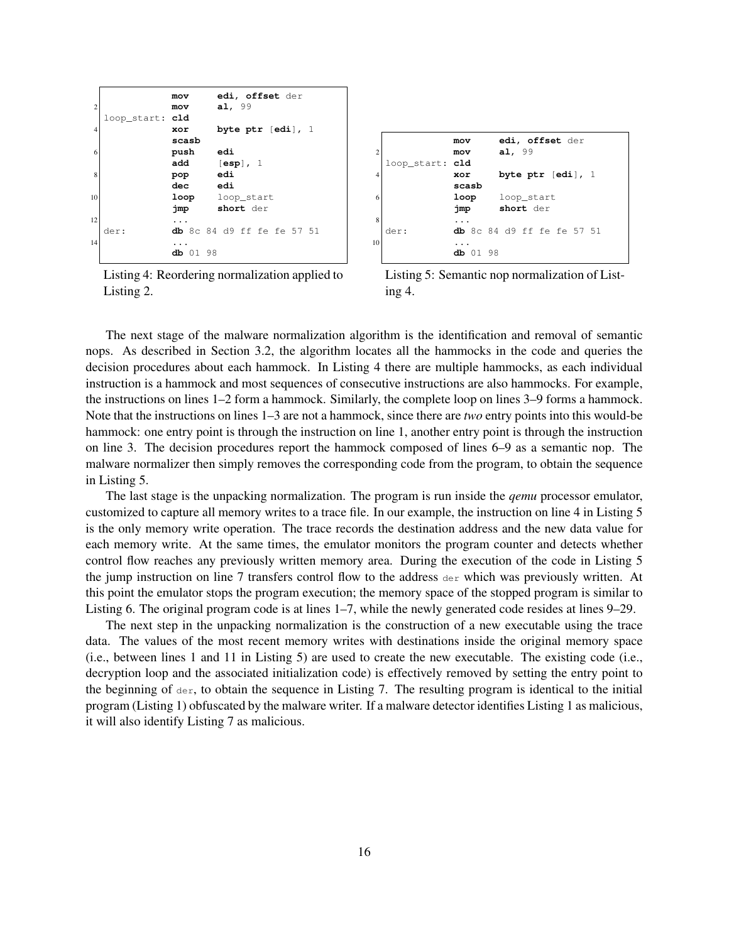<span id="page-15-2"></span><span id="page-15-1"></span><span id="page-15-0"></span>

| $\overline{2}$ | loop_start: cld | mov<br>mov   | edi, offset der<br>a1, 99           |
|----------------|-----------------|--------------|-------------------------------------|
| $\overline{4}$ |                 | xor<br>scasb | byte ptr $[edi]$ , $1$              |
| 6              |                 | push<br>add  | edi<br>$[\sf{esp}]$ , $1$           |
| 8              |                 | pop<br>dec   | edi<br>edi                          |
| 10             |                 | jmp          | <b>loop</b> loop_start<br>short der |
| 12             | der:            |              | <b>db</b> 8c 84 d9 ff fe fe 57 51   |
| 14             |                 | db 01 98     |                                     |

Listing 4: Reordering normalization applied to [Listing 2.](#page-2-1)

<span id="page-15-3"></span>

Listing 5: Semantic nop normalization of [List](#page-15-0)[ing 4.](#page-15-0)

The next stage of the malware normalization algorithm is the identification and removal of semantic nops. As described in [Section 3.2,](#page-4-3) the algorithm locates all the hammocks in the code and queries the decision procedures about each hammock. In [Listing 4](#page-15-0) there are multiple hammocks, as each individual instruction is a hammock and most sequences of consecutive instructions are also hammocks. For example, the instructions on lines 1–2 form a hammock. Similarly, the complete loop on lines 3–9 forms a hammock. Note that the instructions on lines 1–3 are not a hammock, since there are *two* entry points into this would-be hammock: one entry point is through the instruction on line 1, another entry point is through the instruction on line 3. The decision procedures report the hammock composed of lines 6–9 as a semantic nop. The malware normalizer then simply removes the corresponding code from the program, to obtain the sequence in [Listing 5.](#page-15-3)

The last stage is the unpacking normalization. The program is run inside the *qemu* processor emulator, customized to capture all memory writes to a trace file. In our example, the instruction on line 4 in [Listing 5](#page-15-3) is the only memory write operation. The trace records the destination address and the new data value for each memory write. At the same times, the emulator monitors the program counter and detects whether control flow reaches any previously written memory area. During the execution of the code in [Listing 5](#page-15-3) the jump instruction on line 7 transfers control flow to the address  $\text{der}$  which was previously written. At this point the emulator stops the program execution; the memory space of the stopped program is similar to [Listing 6.](#page-16-0) The original program code is at lines 1–7, while the newly generated code resides at lines 9–29.

The next step in the unpacking normalization is the construction of a new executable using the trace data. The values of the most recent memory writes with destinations inside the original memory space (i.e., between lines 1 and 11 in [Listing 5\)](#page-15-3) are used to create the new executable. The existing code (i.e., decryption loop and the associated initialization code) is effectively removed by setting the entry point to the beginning of  $\text{der}$ , to obtain the sequence in [Listing 7.](#page-16-1) The resulting program is identical to the initial program [\(Listing 1\)](#page-2-0) obfuscated by the malware writer. If a malware detector identifies [Listing 1](#page-2-0) as malicious, it will also identify [Listing 7](#page-16-1) as malicious.